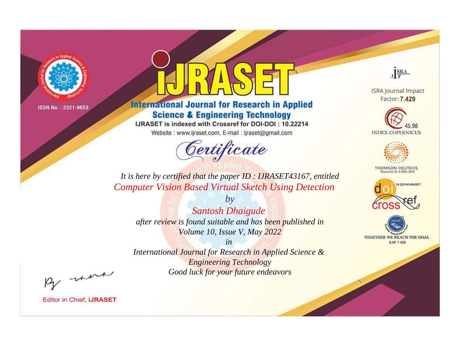

# **International Journal for Research in Applied Science & Engineering Technology**

IJRASET is indexed with Crossref for DOI-DOI: 10.22214

Website: www.ijraset.com, E-mail: ijraset@gmail.com



JERA

**ISRA Journal Impact** Factor: 7.429





**THOMSON REUTERS** 



TOGETHER WE REACH THE GOAL **SJIF 7.429** 

*It is here by certified that the paper ID : IJRASET43167, entitled Computer Vision Based Virtual Sketch Using Detection*

*by Santosh Dhaigude after review is found suitable and has been published in Volume 10, Issue V, May 2022*

*in* 

*International Journal for Research in Applied Science & Engineering Technology Good luck for your future endeavors*

By morn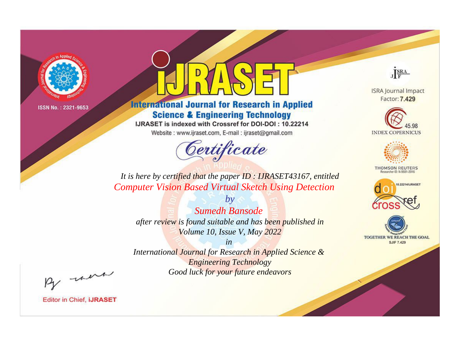

# **International Journal for Research in Applied Science & Engineering Technology**

IJRASET is indexed with Crossref for DOI-DOI: 10.22214

Website: www.ijraset.com, E-mail: ijraset@gmail.com



JERA

**ISRA Journal Impact** Factor: 7.429





**THOMSON REUTERS** 



TOGETHER WE REACH THE GOAL **SJIF 7.429** 

*It is here by certified that the paper ID : IJRASET43167, entitled Computer Vision Based Virtual Sketch Using Detection*

*by Sumedh Bansode after review is found suitable and has been published in Volume 10, Issue V, May 2022*

*in* 

*International Journal for Research in Applied Science & Engineering Technology Good luck for your future endeavors*

By morn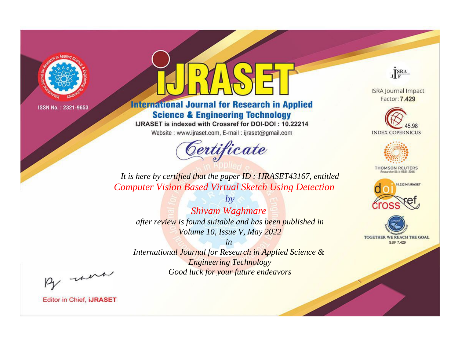

# **International Journal for Research in Applied Science & Engineering Technology**

IJRASET is indexed with Crossref for DOI-DOI: 10.22214

Website: www.ijraset.com, E-mail: ijraset@gmail.com



JERA

**ISRA Journal Impact** Factor: 7.429





**THOMSON REUTERS** 



TOGETHER WE REACH THE GOAL **SJIF 7.429** 

*It is here by certified that the paper ID : IJRASET43167, entitled Computer Vision Based Virtual Sketch Using Detection*

*by Shivam Waghmare after review is found suitable and has been published in Volume 10, Issue V, May 2022*

*in* 

*International Journal for Research in Applied Science & Engineering Technology Good luck for your future endeavors*

By morn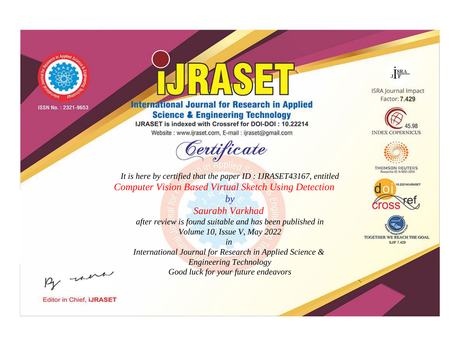

# **International Journal for Research in Applied Science & Engineering Technology**

IJRASET is indexed with Crossref for DOI-DOI: 10.22214

Website: www.ijraset.com, E-mail: ijraset@gmail.com



JERA

**ISRA Journal Impact** Factor: 7.429





**THOMSON REUTERS** 



TOGETHER WE REACH THE GOAL **SJIF 7.429** 

*It is here by certified that the paper ID : IJRASET43167, entitled Computer Vision Based Virtual Sketch Using Detection*

*by Saurabh Varkhad after review is found suitable and has been published in Volume 10, Issue V, May 2022*

*in* 

*International Journal for Research in Applied Science & Engineering Technology Good luck for your future endeavors*

By morn